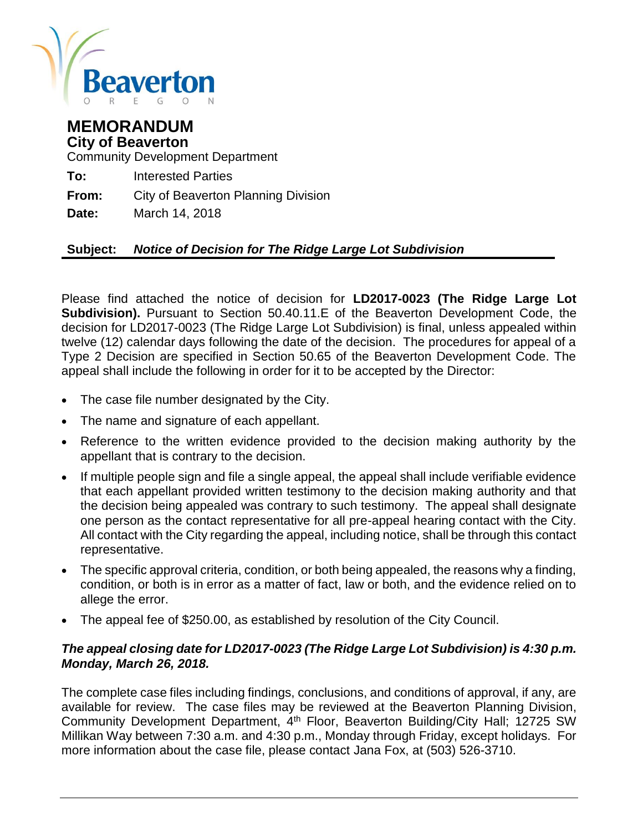

### **MEMORANDUM City of Beaverton**

Community Development Department

**To:** Interested Parties

**From:** City of Beaverton Planning Division

**Date:** March 14, 2018

#### **Subject:** *Notice of Decision for The Ridge Large Lot Subdivision*

Please find attached the notice of decision for **LD2017-0023 (The Ridge Large Lot Subdivision).** Pursuant to Section 50.40.11.E of the Beaverton Development Code, the decision for LD2017-0023 (The Ridge Large Lot Subdivision) is final, unless appealed within twelve (12) calendar days following the date of the decision. The procedures for appeal of a Type 2 Decision are specified in Section 50.65 of the Beaverton Development Code. The appeal shall include the following in order for it to be accepted by the Director:

- The case file number designated by the City.
- The name and signature of each appellant.
- Reference to the written evidence provided to the decision making authority by the appellant that is contrary to the decision.
- If multiple people sign and file a single appeal, the appeal shall include verifiable evidence that each appellant provided written testimony to the decision making authority and that the decision being appealed was contrary to such testimony. The appeal shall designate one person as the contact representative for all pre-appeal hearing contact with the City. All contact with the City regarding the appeal, including notice, shall be through this contact representative.
- The specific approval criteria, condition, or both being appealed, the reasons why a finding, condition, or both is in error as a matter of fact, law or both, and the evidence relied on to allege the error.
- The appeal fee of \$250.00, as established by resolution of the City Council.

#### *The appeal closing date for LD2017-0023 (The Ridge Large Lot Subdivision) is 4:30 p.m. Monday, March 26, 2018.*

The complete case files including findings, conclusions, and conditions of approval, if any, are available for review. The case files may be reviewed at the Beaverton Planning Division, Community Development Department, 4<sup>th</sup> Floor, Beaverton Building/City Hall; 12725 SW Millikan Way between 7:30 a.m. and 4:30 p.m., Monday through Friday, except holidays. For more information about the case file, please contact Jana Fox, at (503) 526-3710.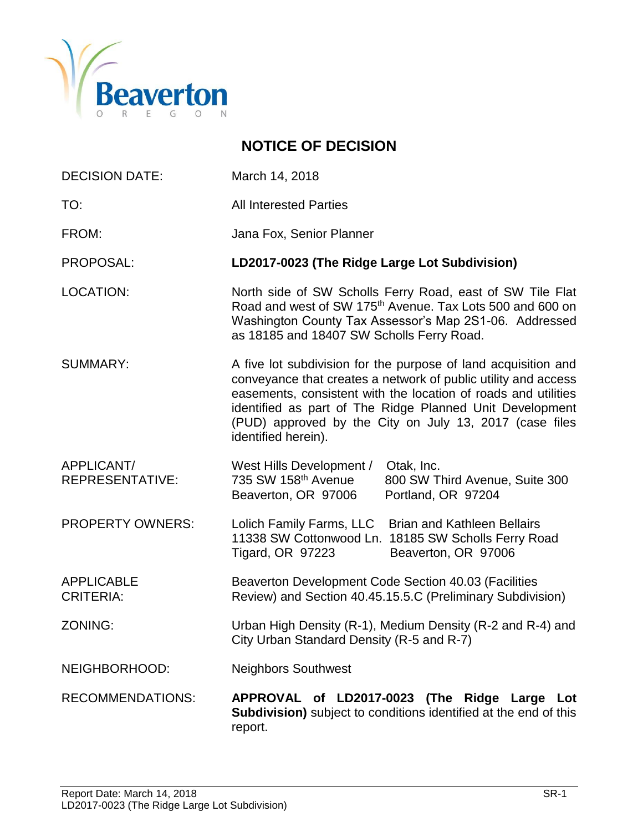

### **NOTICE OF DECISION**

- DECISION DATE: March 14, 2018
- TO: TO: All Interested Parties
- FROM: Jana Fox, Senior Planner

PROPOSAL: **LD2017-0023 (The Ridge Large Lot Subdivision)**

- LOCATION: North side of SW Scholls Ferry Road, east of SW Tile Flat Road and west of SW 175<sup>th</sup> Avenue. Tax Lots 500 and 600 on Washington County Tax Assessor's Map 2S1-06. Addressed as 18185 and 18407 SW Scholls Ferry Road.
- SUMMARY: A five lot subdivision for the purpose of land acquisition and conveyance that creates a network of public utility and access easements, consistent with the location of roads and utilities identified as part of The Ridge Planned Unit Development (PUD) approved by the City on July 13, 2017 (case files identified herein).
- APPLICANT/ West Hills Development / Otak, Inc. REPRESENTATIVE: 735 SW 158th Avenue 800 SW Third Avenue, Suite 300 Beaverton, OR 97006 Portland, OR 97204
- PROPERTY OWNERS: Lolich Family Farms, LLC Brian and Kathleen Bellairs 11338 SW Cottonwood Ln. 18185 SW Scholls Ferry Road Tigard, OR 97223 Beaverton, OR 97006
- APPLICABLE Beaverton Development Code Section 40.03 (Facilities CRITERIA: Review) and Section 40.45.15.5.C (Preliminary Subdivision)
- ZONING: Urban High Density (R-1), Medium Density (R-2 and R-4) and City Urban Standard Density (R-5 and R-7)
- NEIGHBORHOOD: Neighbors Southwest
- RECOMMENDATIONS: **APPROVAL of LD2017-0023 (The Ridge Large Lot Subdivision)** subject to conditions identified at the end of this report.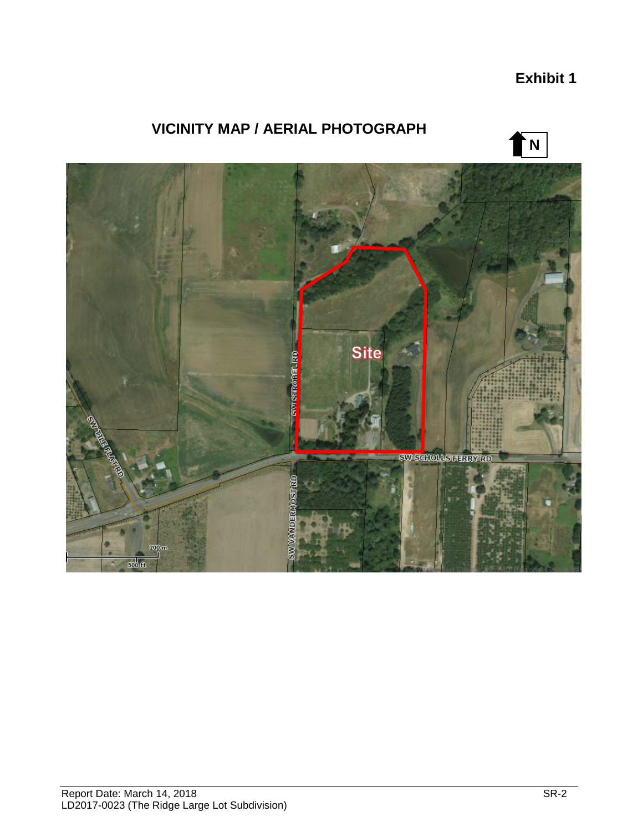### **Exhibit 1**

## **VICINITY MAP / AERIAL PHOTOGRAPH**



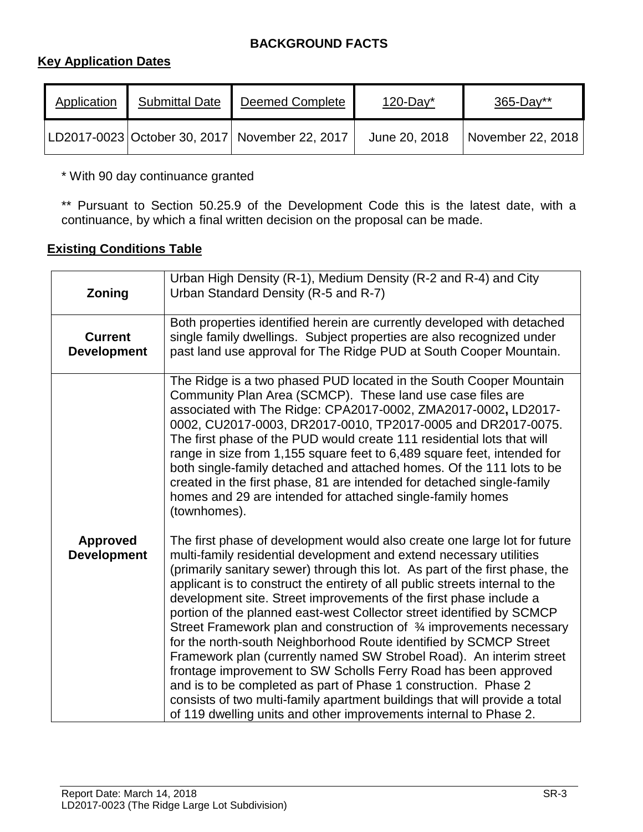#### **BACKGROUND FACTS**

#### **Key Application Dates**

| Application | <b>Submittal Date</b> | <b>Deemed Complete</b>                         | $120$ -Day*   | $365 - Day**$     |
|-------------|-----------------------|------------------------------------------------|---------------|-------------------|
|             |                       | LD2017-0023 October 30, 2017 November 22, 2017 | June 20, 2018 | November 22, 2018 |

\* With 90 day continuance granted

\*\* Pursuant to Section 50.25.9 of the Development Code this is the latest date, with a continuance, by which a final written decision on the proposal can be made.

#### **Existing Conditions Table**

| Zoning                                | Urban High Density (R-1), Medium Density (R-2 and R-4) and City<br>Urban Standard Density (R-5 and R-7)                                                                                                                                                                                                                                                                                                                                                                                                                                                                                                                                                                                                                                                                                                                                                                                                                                                                      |
|---------------------------------------|------------------------------------------------------------------------------------------------------------------------------------------------------------------------------------------------------------------------------------------------------------------------------------------------------------------------------------------------------------------------------------------------------------------------------------------------------------------------------------------------------------------------------------------------------------------------------------------------------------------------------------------------------------------------------------------------------------------------------------------------------------------------------------------------------------------------------------------------------------------------------------------------------------------------------------------------------------------------------|
| <b>Current</b><br><b>Development</b>  | Both properties identified herein are currently developed with detached<br>single family dwellings. Subject properties are also recognized under<br>past land use approval for The Ridge PUD at South Cooper Mountain.                                                                                                                                                                                                                                                                                                                                                                                                                                                                                                                                                                                                                                                                                                                                                       |
|                                       | The Ridge is a two phased PUD located in the South Cooper Mountain<br>Community Plan Area (SCMCP). These land use case files are<br>associated with The Ridge: CPA2017-0002, ZMA2017-0002, LD2017-<br>0002, CU2017-0003, DR2017-0010, TP2017-0005 and DR2017-0075.<br>The first phase of the PUD would create 111 residential lots that will<br>range in size from 1,155 square feet to 6,489 square feet, intended for<br>both single-family detached and attached homes. Of the 111 lots to be<br>created in the first phase, 81 are intended for detached single-family<br>homes and 29 are intended for attached single-family homes<br>(townhomes).                                                                                                                                                                                                                                                                                                                     |
| <b>Approved</b><br><b>Development</b> | The first phase of development would also create one large lot for future<br>multi-family residential development and extend necessary utilities<br>(primarily sanitary sewer) through this lot. As part of the first phase, the<br>applicant is to construct the entirety of all public streets internal to the<br>development site. Street improvements of the first phase include a<br>portion of the planned east-west Collector street identified by SCMCP<br>Street Framework plan and construction of 3/4 improvements necessary<br>for the north-south Neighborhood Route identified by SCMCP Street<br>Framework plan (currently named SW Strobel Road). An interim street<br>frontage improvement to SW Scholls Ferry Road has been approved<br>and is to be completed as part of Phase 1 construction. Phase 2<br>consists of two multi-family apartment buildings that will provide a total<br>of 119 dwelling units and other improvements internal to Phase 2. |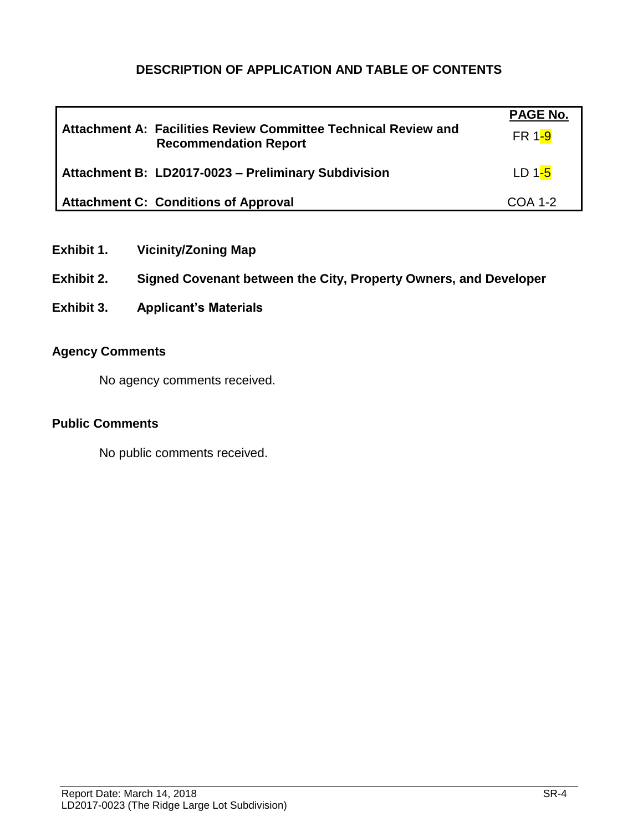#### **DESCRIPTION OF APPLICATION AND TABLE OF CONTENTS**

| Attachment A: Facilities Review Committee Technical Review and<br><b>Recommendation Report</b> | <b>PAGE No.</b><br>FR 1-9 |
|------------------------------------------------------------------------------------------------|---------------------------|
| Attachment B: LD2017-0023 - Preliminary Subdivision                                            | $LD1-5$                   |
| <b>Attachment C: Conditions of Approval</b>                                                    | $COA$ 1-2                 |

- **Exhibit 1. Vicinity/Zoning Map**
- **Exhibit 2. Signed Covenant between the City, Property Owners, and Developer**
- **Exhibit 3. Applicant's Materials**

#### **Agency Comments**

No agency comments received.

#### **Public Comments**

No public comments received.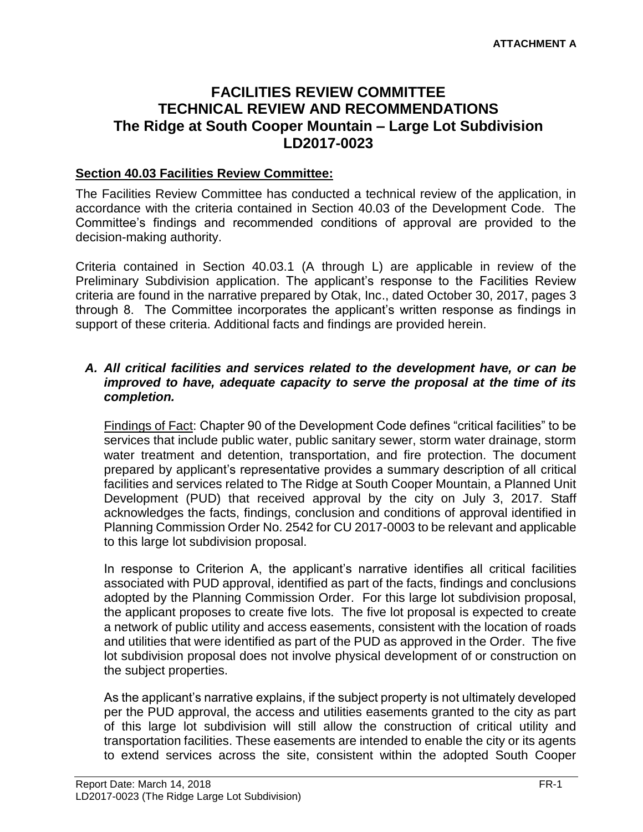### **FACILITIES REVIEW COMMITTEE TECHNICAL REVIEW AND RECOMMENDATIONS The Ridge at South Cooper Mountain – Large Lot Subdivision LD2017-0023**

#### **Section 40.03 Facilities Review Committee:**

The Facilities Review Committee has conducted a technical review of the application, in accordance with the criteria contained in Section 40.03 of the Development Code. The Committee's findings and recommended conditions of approval are provided to the decision-making authority.

Criteria contained in Section 40.03.1 (A through L) are applicable in review of the Preliminary Subdivision application. The applicant's response to the Facilities Review criteria are found in the narrative prepared by Otak, Inc., dated October 30, 2017, pages 3 through 8. The Committee incorporates the applicant's written response as findings in support of these criteria. Additional facts and findings are provided herein.

#### *A. All critical facilities and services related to the development have, or can be improved to have, adequate capacity to serve the proposal at the time of its completion.*

Findings of Fact: Chapter 90 of the Development Code defines "critical facilities" to be services that include public water, public sanitary sewer, storm water drainage, storm water treatment and detention, transportation, and fire protection. The document prepared by applicant's representative provides a summary description of all critical facilities and services related to The Ridge at South Cooper Mountain, a Planned Unit Development (PUD) that received approval by the city on July 3, 2017. Staff acknowledges the facts, findings, conclusion and conditions of approval identified in Planning Commission Order No. 2542 for CU 2017-0003 to be relevant and applicable to this large lot subdivision proposal.

In response to Criterion A, the applicant's narrative identifies all critical facilities associated with PUD approval, identified as part of the facts, findings and conclusions adopted by the Planning Commission Order. For this large lot subdivision proposal, the applicant proposes to create five lots. The five lot proposal is expected to create a network of public utility and access easements, consistent with the location of roads and utilities that were identified as part of the PUD as approved in the Order. The five lot subdivision proposal does not involve physical development of or construction on the subject properties.

As the applicant's narrative explains, if the subject property is not ultimately developed per the PUD approval, the access and utilities easements granted to the city as part of this large lot subdivision will still allow the construction of critical utility and transportation facilities. These easements are intended to enable the city or its agents to extend services across the site, consistent within the adopted South Cooper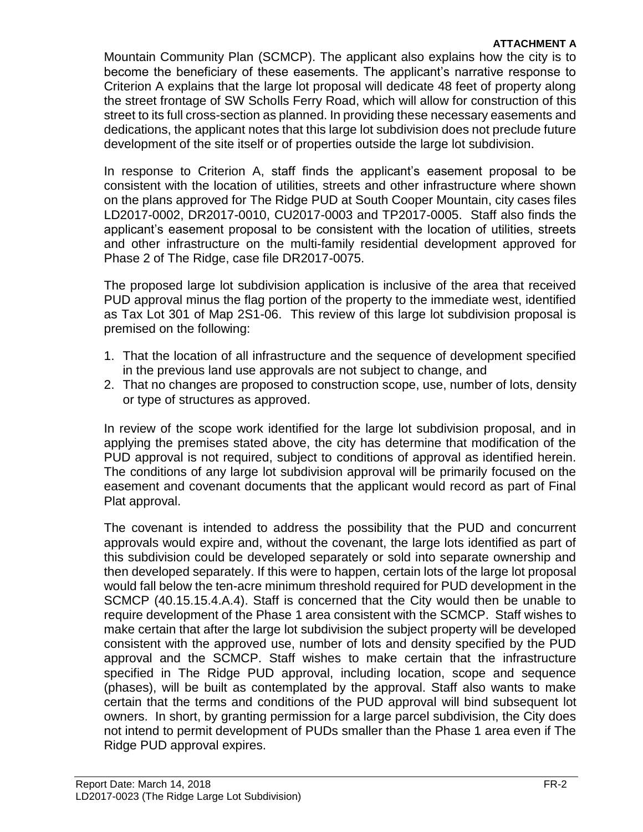#### **ATTACHMENT A**

Mountain Community Plan (SCMCP). The applicant also explains how the city is to become the beneficiary of these easements. The applicant's narrative response to Criterion A explains that the large lot proposal will dedicate 48 feet of property along the street frontage of SW Scholls Ferry Road, which will allow for construction of this street to its full cross-section as planned. In providing these necessary easements and dedications, the applicant notes that this large lot subdivision does not preclude future development of the site itself or of properties outside the large lot subdivision.

In response to Criterion A, staff finds the applicant's easement proposal to be consistent with the location of utilities, streets and other infrastructure where shown on the plans approved for The Ridge PUD at South Cooper Mountain, city cases files LD2017-0002, DR2017-0010, CU2017-0003 and TP2017-0005. Staff also finds the applicant's easement proposal to be consistent with the location of utilities, streets and other infrastructure on the multi-family residential development approved for Phase 2 of The Ridge, case file DR2017-0075.

The proposed large lot subdivision application is inclusive of the area that received PUD approval minus the flag portion of the property to the immediate west, identified as Tax Lot 301 of Map 2S1-06. This review of this large lot subdivision proposal is premised on the following:

- 1. That the location of all infrastructure and the sequence of development specified in the previous land use approvals are not subject to change, and
- 2. That no changes are proposed to construction scope, use, number of lots, density or type of structures as approved.

In review of the scope work identified for the large lot subdivision proposal, and in applying the premises stated above, the city has determine that modification of the PUD approval is not required, subject to conditions of approval as identified herein. The conditions of any large lot subdivision approval will be primarily focused on the easement and covenant documents that the applicant would record as part of Final Plat approval.

The covenant is intended to address the possibility that the PUD and concurrent approvals would expire and, without the covenant, the large lots identified as part of this subdivision could be developed separately or sold into separate ownership and then developed separately. If this were to happen, certain lots of the large lot proposal would fall below the ten-acre minimum threshold required for PUD development in the SCMCP (40.15.15.4.A.4). Staff is concerned that the City would then be unable to require development of the Phase 1 area consistent with the SCMCP. Staff wishes to make certain that after the large lot subdivision the subject property will be developed consistent with the approved use, number of lots and density specified by the PUD approval and the SCMCP. Staff wishes to make certain that the infrastructure specified in The Ridge PUD approval, including location, scope and sequence (phases), will be built as contemplated by the approval. Staff also wants to make certain that the terms and conditions of the PUD approval will bind subsequent lot owners. In short, by granting permission for a large parcel subdivision, the City does not intend to permit development of PUDs smaller than the Phase 1 area even if The Ridge PUD approval expires.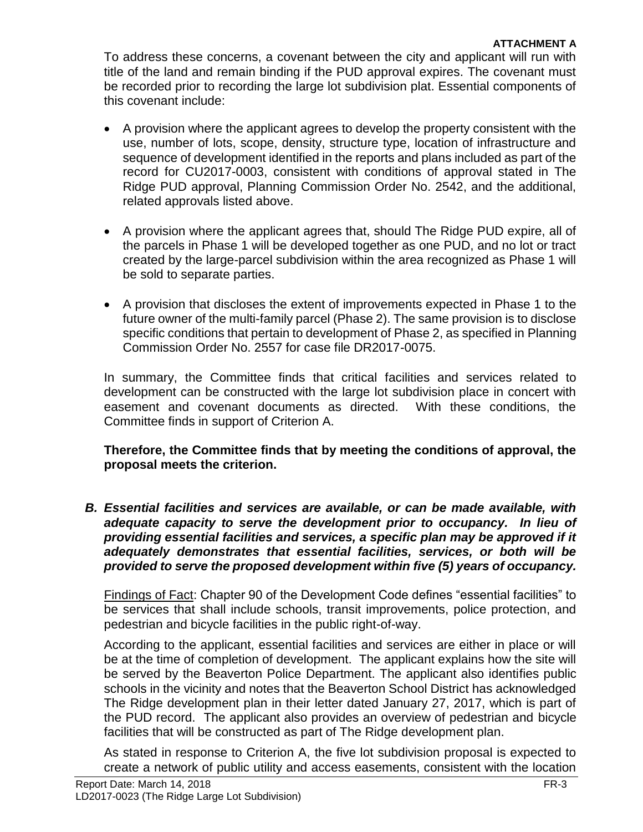To address these concerns, a covenant between the city and applicant will run with title of the land and remain binding if the PUD approval expires. The covenant must be recorded prior to recording the large lot subdivision plat. Essential components of this covenant include:

- A provision where the applicant agrees to develop the property consistent with the use, number of lots, scope, density, structure type, location of infrastructure and sequence of development identified in the reports and plans included as part of the record for CU2017-0003, consistent with conditions of approval stated in The Ridge PUD approval, Planning Commission Order No. 2542, and the additional, related approvals listed above.
- A provision where the applicant agrees that, should The Ridge PUD expire, all of the parcels in Phase 1 will be developed together as one PUD, and no lot or tract created by the large-parcel subdivision within the area recognized as Phase 1 will be sold to separate parties.
- A provision that discloses the extent of improvements expected in Phase 1 to the future owner of the multi-family parcel (Phase 2). The same provision is to disclose specific conditions that pertain to development of Phase 2, as specified in Planning Commission Order No. 2557 for case file DR2017-0075.

In summary, the Committee finds that critical facilities and services related to development can be constructed with the large lot subdivision place in concert with easement and covenant documents as directed. With these conditions, the Committee finds in support of Criterion A.

**Therefore, the Committee finds that by meeting the conditions of approval, the proposal meets the criterion.** 

*B. Essential facilities and services are available, or can be made available, with adequate capacity to serve the development prior to occupancy. In lieu of providing essential facilities and services, a specific plan may be approved if it adequately demonstrates that essential facilities, services, or both will be provided to serve the proposed development within five (5) years of occupancy.*

Findings of Fact: Chapter 90 of the Development Code defines "essential facilities" to be services that shall include schools, transit improvements, police protection, and pedestrian and bicycle facilities in the public right-of-way.

According to the applicant, essential facilities and services are either in place or will be at the time of completion of development. The applicant explains how the site will be served by the Beaverton Police Department. The applicant also identifies public schools in the vicinity and notes that the Beaverton School District has acknowledged The Ridge development plan in their letter dated January 27, 2017, which is part of the PUD record. The applicant also provides an overview of pedestrian and bicycle facilities that will be constructed as part of The Ridge development plan.

As stated in response to Criterion A, the five lot subdivision proposal is expected to create a network of public utility and access easements, consistent with the location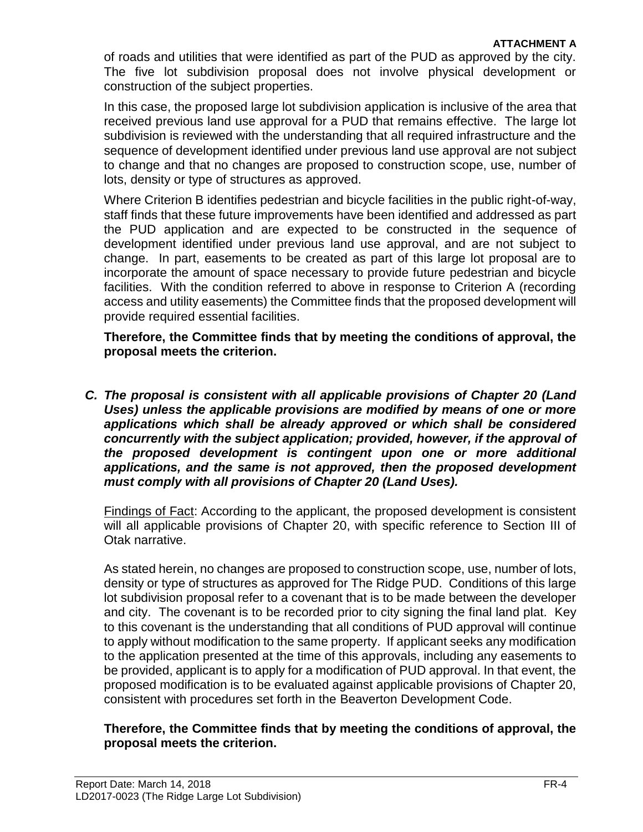of roads and utilities that were identified as part of the PUD as approved by the city. The five lot subdivision proposal does not involve physical development or construction of the subject properties.

In this case, the proposed large lot subdivision application is inclusive of the area that received previous land use approval for a PUD that remains effective. The large lot subdivision is reviewed with the understanding that all required infrastructure and the sequence of development identified under previous land use approval are not subject to change and that no changes are proposed to construction scope, use, number of lots, density or type of structures as approved.

Where Criterion B identifies pedestrian and bicycle facilities in the public right-of-way, staff finds that these future improvements have been identified and addressed as part the PUD application and are expected to be constructed in the sequence of development identified under previous land use approval, and are not subject to change. In part, easements to be created as part of this large lot proposal are to incorporate the amount of space necessary to provide future pedestrian and bicycle facilities. With the condition referred to above in response to Criterion A (recording access and utility easements) the Committee finds that the proposed development will provide required essential facilities.

**Therefore, the Committee finds that by meeting the conditions of approval, the proposal meets the criterion.** 

*C. The proposal is consistent with all applicable provisions of Chapter 20 (Land Uses) unless the applicable provisions are modified by means of one or more applications which shall be already approved or which shall be considered concurrently with the subject application; provided, however, if the approval of the proposed development is contingent upon one or more additional applications, and the same is not approved, then the proposed development must comply with all provisions of Chapter 20 (Land Uses).* 

Findings of Fact: According to the applicant, the proposed development is consistent will all applicable provisions of Chapter 20, with specific reference to Section III of Otak narrative.

As stated herein, no changes are proposed to construction scope, use, number of lots, density or type of structures as approved for The Ridge PUD. Conditions of this large lot subdivision proposal refer to a covenant that is to be made between the developer and city. The covenant is to be recorded prior to city signing the final land plat. Key to this covenant is the understanding that all conditions of PUD approval will continue to apply without modification to the same property. If applicant seeks any modification to the application presented at the time of this approvals, including any easements to be provided, applicant is to apply for a modification of PUD approval. In that event, the proposed modification is to be evaluated against applicable provisions of Chapter 20, consistent with procedures set forth in the Beaverton Development Code.

#### **Therefore, the Committee finds that by meeting the conditions of approval, the proposal meets the criterion.**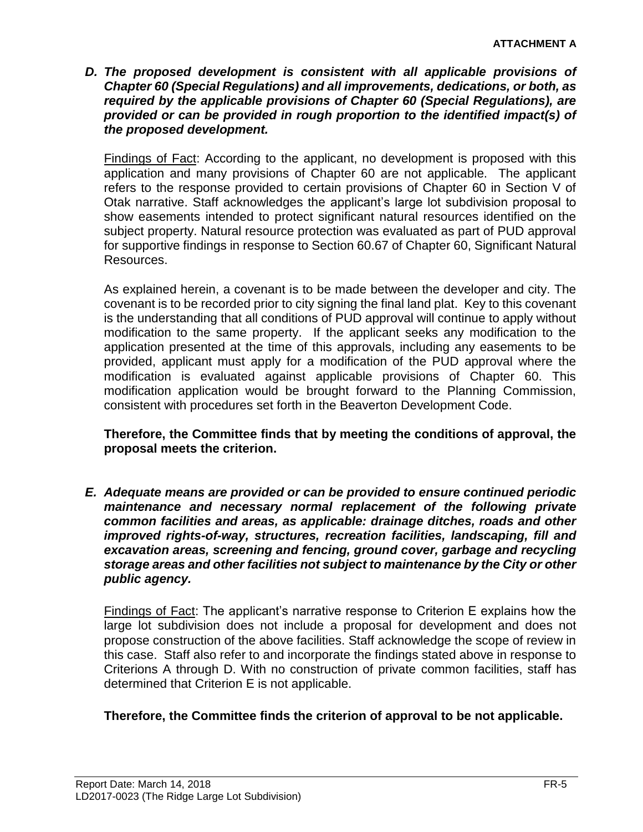*D. The proposed development is consistent with all applicable provisions of Chapter 60 (Special Regulations) and all improvements, dedications, or both, as required by the applicable provisions of Chapter 60 (Special Regulations), are provided or can be provided in rough proportion to the identified impact(s) of the proposed development.*

Findings of Fact: According to the applicant, no development is proposed with this application and many provisions of Chapter 60 are not applicable. The applicant refers to the response provided to certain provisions of Chapter 60 in Section V of Otak narrative. Staff acknowledges the applicant's large lot subdivision proposal to show easements intended to protect significant natural resources identified on the subject property. Natural resource protection was evaluated as part of PUD approval for supportive findings in response to Section 60.67 of Chapter 60, Significant Natural Resources.

As explained herein, a covenant is to be made between the developer and city. The covenant is to be recorded prior to city signing the final land plat. Key to this covenant is the understanding that all conditions of PUD approval will continue to apply without modification to the same property. If the applicant seeks any modification to the application presented at the time of this approvals, including any easements to be provided, applicant must apply for a modification of the PUD approval where the modification is evaluated against applicable provisions of Chapter 60. This modification application would be brought forward to the Planning Commission, consistent with procedures set forth in the Beaverton Development Code.

**Therefore, the Committee finds that by meeting the conditions of approval, the proposal meets the criterion.** 

*E. Adequate means are provided or can be provided to ensure continued periodic maintenance and necessary normal replacement of the following private common facilities and areas, as applicable: drainage ditches, roads and other improved rights-of-way, structures, recreation facilities, landscaping, fill and excavation areas, screening and fencing, ground cover, garbage and recycling storage areas and other facilities not subject to maintenance by the City or other public agency.*

Findings of Fact: The applicant's narrative response to Criterion E explains how the large lot subdivision does not include a proposal for development and does not propose construction of the above facilities. Staff acknowledge the scope of review in this case. Staff also refer to and incorporate the findings stated above in response to Criterions A through D. With no construction of private common facilities, staff has determined that Criterion E is not applicable.

#### **Therefore, the Committee finds the criterion of approval to be not applicable.**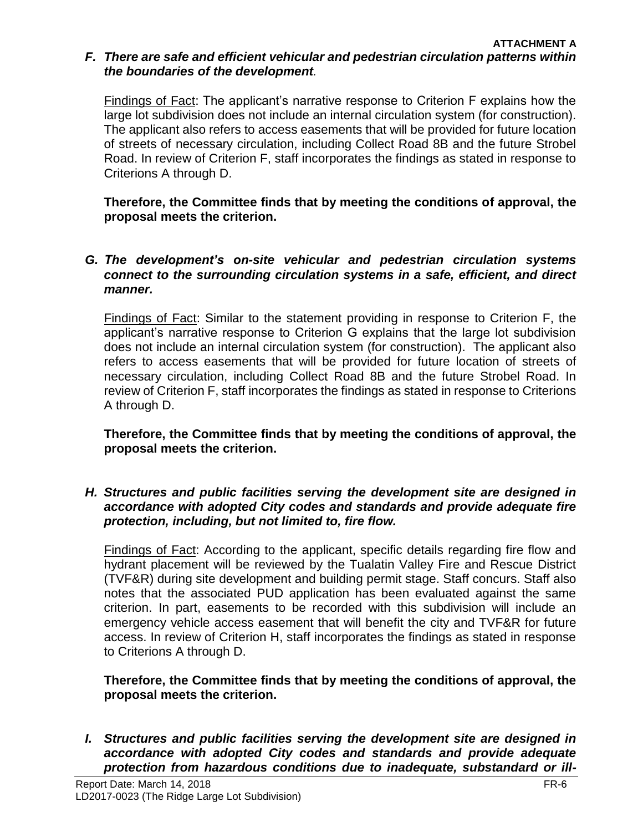#### *F. There are safe and efficient vehicular and pedestrian circulation patterns within the boundaries of the development.*

Findings of Fact: The applicant's narrative response to Criterion F explains how the large lot subdivision does not include an internal circulation system (for construction). The applicant also refers to access easements that will be provided for future location of streets of necessary circulation, including Collect Road 8B and the future Strobel Road. In review of Criterion F, staff incorporates the findings as stated in response to Criterions A through D.

**Therefore, the Committee finds that by meeting the conditions of approval, the proposal meets the criterion.**

#### *G. The development's on-site vehicular and pedestrian circulation systems connect to the surrounding circulation systems in a safe, efficient, and direct manner.*

Findings of Fact: Similar to the statement providing in response to Criterion F, the applicant's narrative response to Criterion G explains that the large lot subdivision does not include an internal circulation system (for construction). The applicant also refers to access easements that will be provided for future location of streets of necessary circulation, including Collect Road 8B and the future Strobel Road. In review of Criterion F, staff incorporates the findings as stated in response to Criterions A through D.

**Therefore, the Committee finds that by meeting the conditions of approval, the proposal meets the criterion.** 

#### *H. Structures and public facilities serving the development site are designed in accordance with adopted City codes and standards and provide adequate fire protection, including, but not limited to, fire flow.*

Findings of Fact: According to the applicant, specific details regarding fire flow and hydrant placement will be reviewed by the Tualatin Valley Fire and Rescue District (TVF&R) during site development and building permit stage. Staff concurs. Staff also notes that the associated PUD application has been evaluated against the same criterion. In part, easements to be recorded with this subdivision will include an emergency vehicle access easement that will benefit the city and TVF&R for future access. In review of Criterion H, staff incorporates the findings as stated in response to Criterions A through D.

#### **Therefore, the Committee finds that by meeting the conditions of approval, the proposal meets the criterion.**

*I. Structures and public facilities serving the development site are designed in accordance with adopted City codes and standards and provide adequate protection from hazardous conditions due to inadequate, substandard or ill-*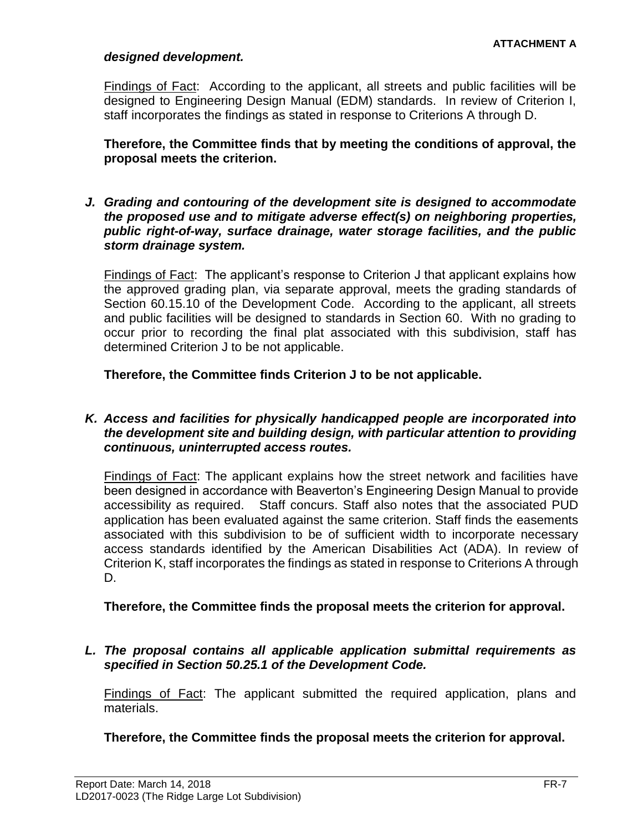#### *designed development.*

Findings of Fact: According to the applicant, all streets and public facilities will be designed to Engineering Design Manual (EDM) standards. In review of Criterion I, staff incorporates the findings as stated in response to Criterions A through D.

**Therefore, the Committee finds that by meeting the conditions of approval, the proposal meets the criterion.** 

*J. Grading and contouring of the development site is designed to accommodate the proposed use and to mitigate adverse effect(s) on neighboring properties, public right-of-way, surface drainage, water storage facilities, and the public storm drainage system.*

Findings of Fact: The applicant's response to Criterion J that applicant explains how the approved grading plan, via separate approval, meets the grading standards of Section 60.15.10 of the Development Code. According to the applicant, all streets and public facilities will be designed to standards in Section 60. With no grading to occur prior to recording the final plat associated with this subdivision, staff has determined Criterion J to be not applicable.

**Therefore, the Committee finds Criterion J to be not applicable.** 

#### *K. Access and facilities for physically handicapped people are incorporated into the development site and building design, with particular attention to providing continuous, uninterrupted access routes.*

Findings of Fact: The applicant explains how the street network and facilities have been designed in accordance with Beaverton's Engineering Design Manual to provide accessibility as required. Staff concurs. Staff also notes that the associated PUD application has been evaluated against the same criterion. Staff finds the easements associated with this subdivision to be of sufficient width to incorporate necessary access standards identified by the American Disabilities Act (ADA). In review of Criterion K, staff incorporates the findings as stated in response to Criterions A through D.

#### **Therefore, the Committee finds the proposal meets the criterion for approval.**

*L. The proposal contains all applicable application submittal requirements as specified in Section 50.25.1 of the Development Code.*

Findings of Fact: The applicant submitted the required application, plans and materials.

**Therefore, the Committee finds the proposal meets the criterion for approval.**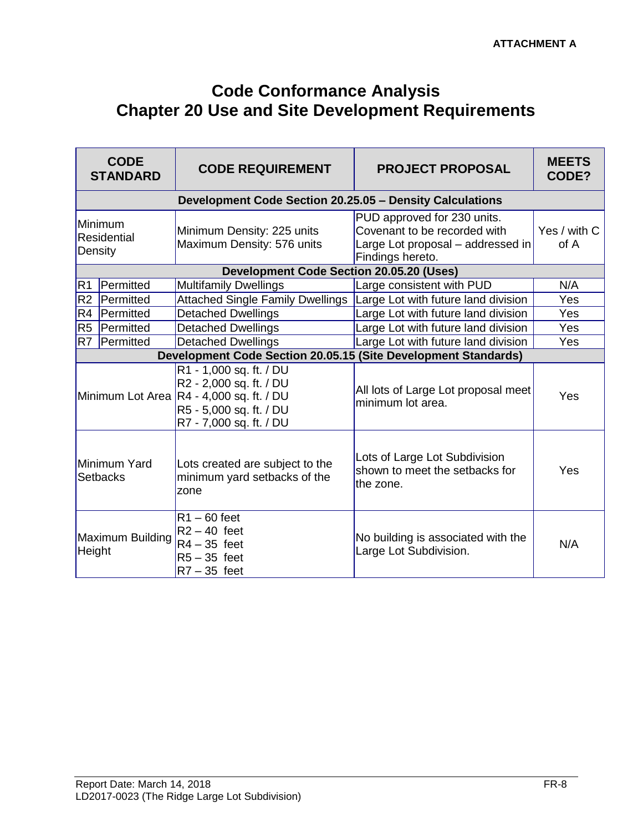# **Code Conformance Analysis Chapter 20 Use and Site Development Requirements**

|                | <b>CODE</b><br><b>STANDARD</b>    | <b>CODE REQUIREMENT</b>                                                                                                                              | <b>PROJECT PROPOSAL</b>                                                                                              | <b>MEETS</b><br>CODE? |
|----------------|-----------------------------------|------------------------------------------------------------------------------------------------------------------------------------------------------|----------------------------------------------------------------------------------------------------------------------|-----------------------|
|                |                                   | Development Code Section 20.25.05 - Density Calculations                                                                                             |                                                                                                                      |                       |
|                | Minimum<br>Residential<br>Density | Minimum Density: 225 units<br>Maximum Density: 576 units                                                                                             | PUD approved for 230 units.<br>Covenant to be recorded with<br>Large Lot proposal - addressed in<br>Findings hereto. | Yes / with C<br>of A  |
|                |                                   | <b>Development Code Section 20.05.20 (Uses)</b>                                                                                                      |                                                                                                                      |                       |
| R1             | Permitted                         | <b>Multifamily Dwellings</b>                                                                                                                         | Large consistent with PUD                                                                                            | N/A                   |
| R <sub>2</sub> | Permitted                         | <b>Attached Single Family Dwellings</b>                                                                                                              | Large Lot with future land division                                                                                  | Yes                   |
| R4             | Permitted                         | <b>Detached Dwellings</b>                                                                                                                            | Large Lot with future land division                                                                                  | Yes                   |
| R <sub>5</sub> | Permitted                         | <b>Detached Dwellings</b>                                                                                                                            | Large Lot with future land division                                                                                  | Yes                   |
| R7             | Permitted                         | <b>Detached Dwellings</b>                                                                                                                            | Large Lot with future land division                                                                                  | Yes                   |
|                |                                   | Development Code Section 20.05.15 (Site Development Standards)                                                                                       |                                                                                                                      |                       |
|                |                                   | R1 - 1,000 sq. ft. / DU<br>R2 - 2,000 sq. ft. / DU<br>Minimum Lot Area R4 - 4,000 sq. ft. / DU<br>R5 - 5,000 sq. ft. / DU<br>R7 - 7,000 sq. ft. / DU | All lots of Large Lot proposal meet<br>minimum lot area.                                                             | Yes                   |
|                | Minimum Yard<br>Setbacks          | Lots created are subject to the<br>minimum yard setbacks of the<br>zone                                                                              | Lots of Large Lot Subdivision<br>shown to meet the setbacks for<br>the zone.                                         | Yes                   |
| Height         | Maximum Building                  | $R1 - 60$ feet<br>$R2 - 40$ feet<br>$R4 - 35$ feet<br>$R5 - 35$ feet<br>$R7 - 35$ feet                                                               | No building is associated with the<br>Large Lot Subdivision.                                                         | N/A                   |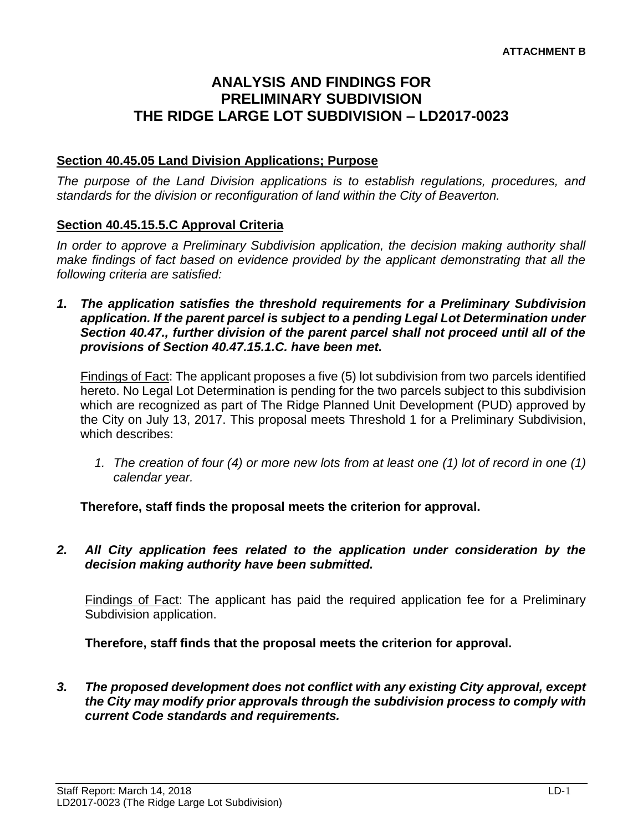### **ANALYSIS AND FINDINGS FOR PRELIMINARY SUBDIVISION THE RIDGE LARGE LOT SUBDIVISION – LD2017-0023**

#### **Section 40.45.05 Land Division Applications; Purpose**

*The purpose of the Land Division applications is to establish regulations, procedures, and standards for the division or reconfiguration of land within the City of Beaverton.* 

#### **Section 40.45.15.5.C Approval Criteria**

*In order to approve a Preliminary Subdivision application, the decision making authority shall make findings of fact based on evidence provided by the applicant demonstrating that all the following criteria are satisfied:*

*1. The application satisfies the threshold requirements for a Preliminary Subdivision application. If the parent parcel is subject to a pending Legal Lot Determination under Section 40.47., further division of the parent parcel shall not proceed until all of the provisions of Section 40.47.15.1.C. have been met.*

Findings of Fact: The applicant proposes a five (5) lot subdivision from two parcels identified hereto. No Legal Lot Determination is pending for the two parcels subject to this subdivision which are recognized as part of The Ridge Planned Unit Development (PUD) approved by the City on July 13, 2017. This proposal meets Threshold 1 for a Preliminary Subdivision, which describes:

*1. The creation of four (4) or more new lots from at least one (1) lot of record in one (1) calendar year.*

**Therefore, staff finds the proposal meets the criterion for approval.**

*2. All City application fees related to the application under consideration by the decision making authority have been submitted.*

Findings of Fact: The applicant has paid the required application fee for a Preliminary Subdivision application.

**Therefore, staff finds that the proposal meets the criterion for approval.**

*3. The proposed development does not conflict with any existing City approval, except the City may modify prior approvals through the subdivision process to comply with current Code standards and requirements.*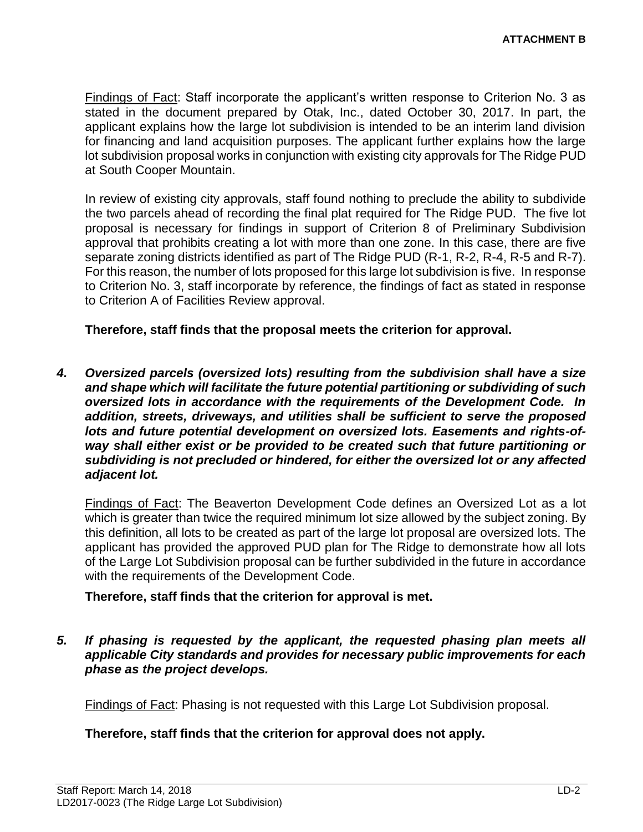Findings of Fact: Staff incorporate the applicant's written response to Criterion No. 3 as stated in the document prepared by Otak, Inc., dated October 30, 2017. In part, the applicant explains how the large lot subdivision is intended to be an interim land division for financing and land acquisition purposes. The applicant further explains how the large lot subdivision proposal works in conjunction with existing city approvals for The Ridge PUD at South Cooper Mountain.

In review of existing city approvals, staff found nothing to preclude the ability to subdivide the two parcels ahead of recording the final plat required for The Ridge PUD. The five lot proposal is necessary for findings in support of Criterion 8 of Preliminary Subdivision approval that prohibits creating a lot with more than one zone. In this case, there are five separate zoning districts identified as part of The Ridge PUD (R-1, R-2, R-4, R-5 and R-7). For this reason, the number of lots proposed for this large lot subdivision is five. In response to Criterion No. 3, staff incorporate by reference, the findings of fact as stated in response to Criterion A of Facilities Review approval.

**Therefore, staff finds that the proposal meets the criterion for approval.**

*4. Oversized parcels (oversized lots) resulting from the subdivision shall have a size and shape which will facilitate the future potential partitioning or subdividing of such oversized lots in accordance with the requirements of the Development Code. In addition, streets, driveways, and utilities shall be sufficient to serve the proposed lots and future potential development on oversized lots. Easements and rights-ofway shall either exist or be provided to be created such that future partitioning or subdividing is not precluded or hindered, for either the oversized lot or any affected adjacent lot.*

Findings of Fact: The Beaverton Development Code defines an Oversized Lot as a lot which is greater than twice the required minimum lot size allowed by the subject zoning. By this definition, all lots to be created as part of the large lot proposal are oversized lots. The applicant has provided the approved PUD plan for The Ridge to demonstrate how all lots of the Large Lot Subdivision proposal can be further subdivided in the future in accordance with the requirements of the Development Code.

#### **Therefore, staff finds that the criterion for approval is met.**

*5. If phasing is requested by the applicant, the requested phasing plan meets all applicable City standards and provides for necessary public improvements for each phase as the project develops.*

Findings of Fact: Phasing is not requested with this Large Lot Subdivision proposal.

#### **Therefore, staff finds that the criterion for approval does not apply.**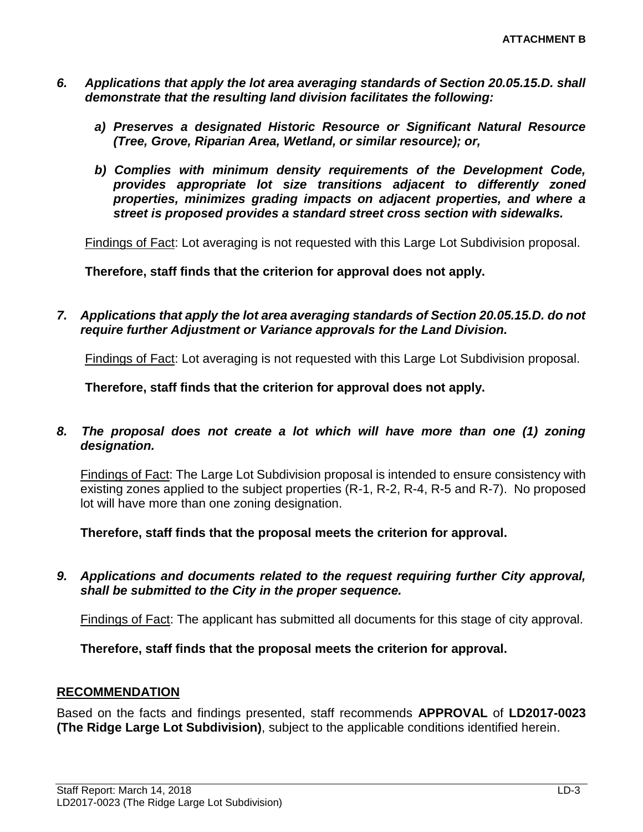- *6. Applications that apply the lot area averaging standards of Section 20.05.15.D. shall demonstrate that the resulting land division facilitates the following:* 
	- *a) Preserves a designated Historic Resource or Significant Natural Resource (Tree, Grove, Riparian Area, Wetland, or similar resource); or,*
	- *b) Complies with minimum density requirements of the Development Code, provides appropriate lot size transitions adjacent to differently zoned properties, minimizes grading impacts on adjacent properties, and where a street is proposed provides a standard street cross section with sidewalks.*

Findings of Fact: Lot averaging is not requested with this Large Lot Subdivision proposal.

**Therefore, staff finds that the criterion for approval does not apply.**

*7. Applications that apply the lot area averaging standards of Section 20.05.15.D. do not require further Adjustment or Variance approvals for the Land Division.*

Findings of Fact: Lot averaging is not requested with this Large Lot Subdivision proposal.

**Therefore, staff finds that the criterion for approval does not apply.**

*8. The proposal does not create a lot which will have more than one (1) zoning designation.*

Findings of Fact: The Large Lot Subdivision proposal is intended to ensure consistency with existing zones applied to the subject properties (R-1, R-2, R-4, R-5 and R-7). No proposed lot will have more than one zoning designation.

**Therefore, staff finds that the proposal meets the criterion for approval.**

*9. Applications and documents related to the request requiring further City approval, shall be submitted to the City in the proper sequence.*

Findings of Fact: The applicant has submitted all documents for this stage of city approval.

**Therefore, staff finds that the proposal meets the criterion for approval.**

#### **RECOMMENDATION**

Based on the facts and findings presented, staff recommends **APPROVAL** of **LD2017-0023 (The Ridge Large Lot Subdivision)**, subject to the applicable conditions identified herein.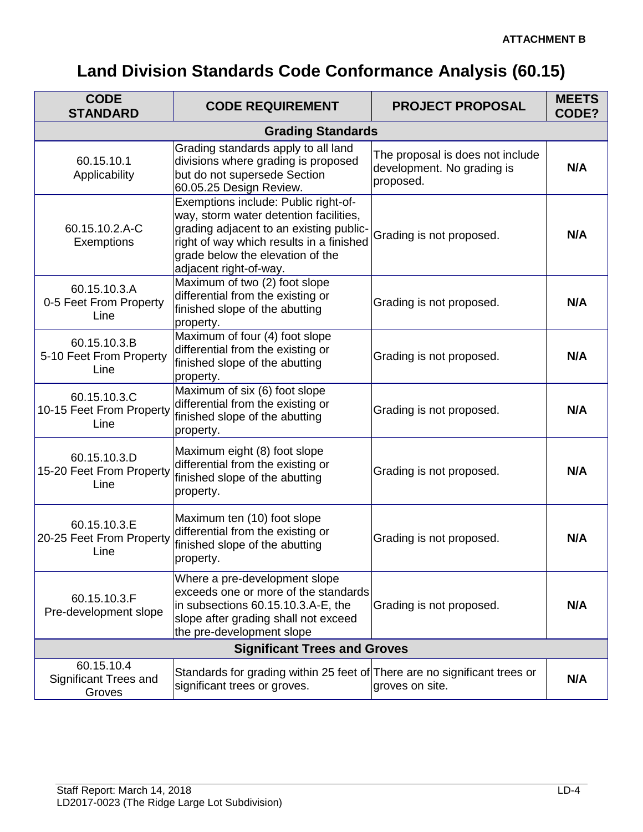# **Land Division Standards Code Conformance Analysis (60.15)**

| <b>CODE</b><br><b>STANDARD</b>                       | <b>CODE REQUIREMENT</b>                                                                                                                                                                                                             | <b>PROJECT PROPOSAL</b>                                                     | <b>MEETS</b><br>CODE? |  |
|------------------------------------------------------|-------------------------------------------------------------------------------------------------------------------------------------------------------------------------------------------------------------------------------------|-----------------------------------------------------------------------------|-----------------------|--|
| <b>Grading Standards</b>                             |                                                                                                                                                                                                                                     |                                                                             |                       |  |
| 60.15.10.1<br>Applicability                          | Grading standards apply to all land<br>divisions where grading is proposed<br>but do not supersede Section<br>60.05.25 Design Review.                                                                                               | The proposal is does not include<br>development. No grading is<br>proposed. | N/A                   |  |
| 60.15.10.2.A-C<br>Exemptions                         | Exemptions include: Public right-of-<br>way, storm water detention facilities,<br>grading adjacent to an existing public-<br>right of way which results in a finished<br>grade below the elevation of the<br>adjacent right-of-way. | Grading is not proposed.                                                    | N/A                   |  |
| 60.15.10.3.A<br>0-5 Feet From Property<br>Line       | Maximum of two (2) foot slope<br>differential from the existing or<br>finished slope of the abutting<br>property.                                                                                                                   | Grading is not proposed.                                                    | N/A                   |  |
| 60.15.10.3.B<br>5-10 Feet From Property<br>Line      | Maximum of four (4) foot slope<br>differential from the existing or<br>finished slope of the abutting<br>property.                                                                                                                  | Grading is not proposed.                                                    | N/A                   |  |
| 60.15.10.3.C<br>10-15 Feet From Property<br>Line     | Maximum of six (6) foot slope<br>differential from the existing or<br>finished slope of the abutting<br>property.                                                                                                                   | Grading is not proposed.                                                    | N/A                   |  |
| 60.15.10.3.D<br>15-20 Feet From Property<br>Line     | Maximum eight (8) foot slope<br>differential from the existing or<br>finished slope of the abutting<br>property.                                                                                                                    | Grading is not proposed.                                                    | N/A                   |  |
| 60.15.10.3.E<br>20-25 Feet From Property<br>Line     | Maximum ten (10) foot slope<br>differential from the existing or<br>finished slope of the abutting<br>property.                                                                                                                     | Grading is not proposed.                                                    | N/A                   |  |
| 60.15.10.3.F<br>Pre-development slope                | Where a pre-development slope<br>exceeds one or more of the standards<br>in subsections 60.15.10.3.A-E, the<br>slope after grading shall not exceed<br>the pre-development slope                                                    | Grading is not proposed.                                                    | N/A                   |  |
| <b>Significant Trees and Groves</b>                  |                                                                                                                                                                                                                                     |                                                                             |                       |  |
| 60.15.10.4<br><b>Significant Trees and</b><br>Groves | Standards for grading within 25 feet of There are no significant trees or<br>significant trees or groves.                                                                                                                           | groves on site.                                                             | N/A                   |  |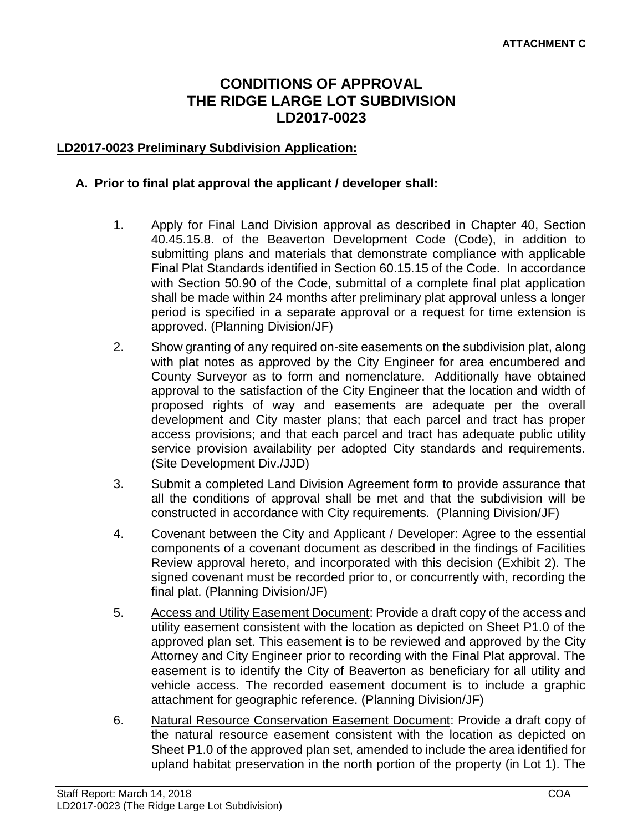### **CONDITIONS OF APPROVAL THE RIDGE LARGE LOT SUBDIVISION LD2017-0023**

#### **LD2017-0023 Preliminary Subdivision Application:**

#### **A. Prior to final plat approval the applicant / developer shall:**

- 1. Apply for Final Land Division approval as described in Chapter 40, Section 40.45.15.8. of the Beaverton Development Code (Code), in addition to submitting plans and materials that demonstrate compliance with applicable Final Plat Standards identified in Section 60.15.15 of the Code. In accordance with Section 50.90 of the Code, submittal of a complete final plat application shall be made within 24 months after preliminary plat approval unless a longer period is specified in a separate approval or a request for time extension is approved. (Planning Division/JF)
- 2. Show granting of any required on-site easements on the subdivision plat, along with plat notes as approved by the City Engineer for area encumbered and County Surveyor as to form and nomenclature. Additionally have obtained approval to the satisfaction of the City Engineer that the location and width of proposed rights of way and easements are adequate per the overall development and City master plans; that each parcel and tract has proper access provisions; and that each parcel and tract has adequate public utility service provision availability per adopted City standards and requirements. (Site Development Div./JJD)
- 3. Submit a completed Land Division Agreement form to provide assurance that all the conditions of approval shall be met and that the subdivision will be constructed in accordance with City requirements. (Planning Division/JF)
- 4. Covenant between the City and Applicant / Developer: Agree to the essential components of a covenant document as described in the findings of Facilities Review approval hereto, and incorporated with this decision (Exhibit 2). The signed covenant must be recorded prior to, or concurrently with, recording the final plat. (Planning Division/JF)
- 5. Access and Utility Easement Document: Provide a draft copy of the access and utility easement consistent with the location as depicted on Sheet P1.0 of the approved plan set. This easement is to be reviewed and approved by the City Attorney and City Engineer prior to recording with the Final Plat approval. The easement is to identify the City of Beaverton as beneficiary for all utility and vehicle access. The recorded easement document is to include a graphic attachment for geographic reference. (Planning Division/JF)
- 6. Natural Resource Conservation Easement Document: Provide a draft copy of the natural resource easement consistent with the location as depicted on Sheet P1.0 of the approved plan set, amended to include the area identified for upland habitat preservation in the north portion of the property (in Lot 1). The